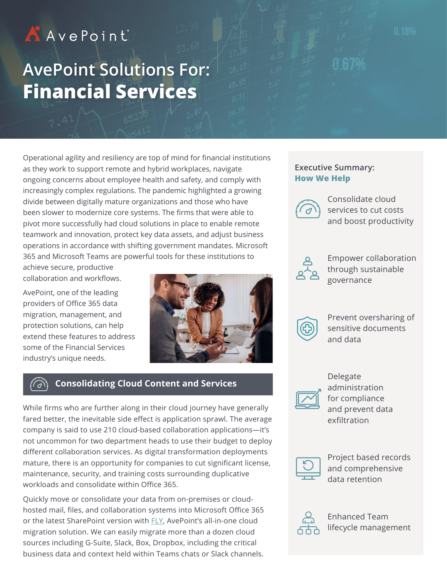# AAvePoint

# **AvePoint Solutions For: Financial Services**

Operational agility and resiliency are top of mind for financial institutions as they work to support remote and hybrid workplaces, navigate ongoing concerns about employee health and safety, and comply with increasingly complex regulations. The pandemic highlighted a growing divide between digitally mature organizations and those who have been slower to modernize core systems. The firms that were able to pivot more successfully had cloud solutions in place to enable remote teamwork and innovation, protect key data assets, and adjust business operations in accordance with shifting government mandates. Microsoft 365 and Microsoft Teams are powerful tools for these institutions to

achieve secure, productive collaboration and workflows.

AvePoint, one of the leading providers of Office 365 data migration, management, and protection solutions, can help extend these features to address some of the Financial Services industry's unique needs.



## **Consolidating Cloud Content and Services**

While firms who are further along in their cloud journey have generally fared better, the inevitable side effect is application sprawl. The average company is said to use 210 cloud-based collaboration applications—it's not uncommon for two department heads to use their budget to deploy different collaboration services. As digital transformation deployments mature, there is an opportunity for companies to cut significant license, maintenance, security, and training costs surrounding duplicative workloads and consolidate within Office 365.

Quickly move or consolidate your data from on-premises or cloudhosted mail, files, and collaboration systems into Microsoft Office 365 or the latest SharePoint version with [FLY](https://www.avepoint.com/products/hybrid/office-365-migration/fly), AvePoint's all-in-one cloud migration solution. We can easily migrate more than a dozen cloud sources including G-Suite, Slack, Box, Dropbox, including the critical business data and context held within Teams chats or Slack channels.

### **Executive Summary: How We Help**



Consolidate cloud services to cut costs and boost productivity



Empower collaboration through sustainable governance



Prevent oversharing of sensitive documents and data



Delegate administration for compliance and prevent data exfiltration



Project based records and comprehensive data retention



Enhanced Team lifecycle management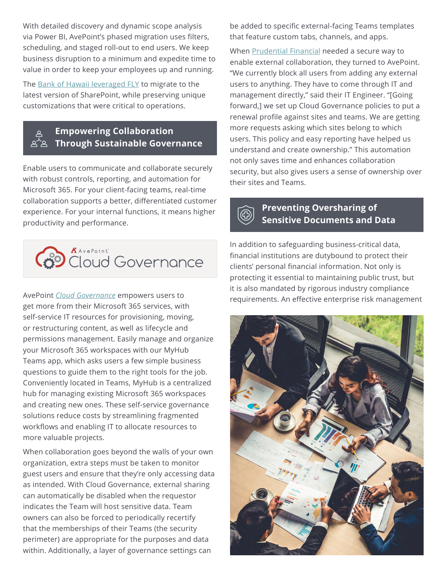With detailed discovery and dynamic scope analysis via Power BI, AvePoint's phased migration uses filters, scheduling, and staged roll-out to end users. We keep business disruption to a minimum and expedite time to value in order to keep your employees up and running.

The [Bank of Hawaii leveraged FLY](https://avepointcdn.azureedge.net/pdfs/en/case_study/Bank-of-Hawaii-Case-Study.pdf) to migrate to the latest version of SharePoint, while preserving unique customizations that were critical to operations.

### **Empowering Collaboration**   $\overline{\mathcal{Z}}$  Through Sustainable Governance

Enable users to communicate and collaborate securely with robust controls, reporting, and automation for Microsoft 365. For your client-facing teams, real-time collaboration supports a better, differentiated customer experience. For your internal functions, it means higher productivity and performance.



AvePoint *[Cloud Governance](https://www.avepoint.com/products/cloud/office-365-governance)* empowers users to get more from their Microsoft 365 services, with self-service IT resources for provisioning, moving, or restructuring content, as well as lifecycle and permissions management. Easily manage and organize your Microsoft 365 workspaces with our MyHub Teams app, which asks users a few simple business questions to guide them to the right tools for the job. Conveniently located in Teams, MyHub is a centralized hub for managing existing Microsoft 365 workspaces and creating new ones. These self-service governance solutions reduce costs by streamlining fragmented workflows and enabling IT to allocate resources to more valuable projects.

When collaboration goes beyond the walls of your own organization, extra steps must be taken to monitor guest users and ensure that they're only accessing data as intended. With Cloud Governance, external sharing can automatically be disabled when the requestor indicates the Team will host sensitive data. Team owners can also be forced to periodically recertify that the memberships of their Teams (the security perimeter) are appropriate for the purposes and data within. Additionally, a layer of governance settings can

be added to specific external-facing Teams templates that feature custom tabs, channels, and apps.

When [Prudential Financial](https://cdn.avepoint.com/pdfs/en/case_study/Prudential_Case-Study_FINAL-PDF.pdf) needed a secure way to enable external collaboration, they turned to AvePoint. "We currently block all users from adding any external users to anything. They have to come through IT and management directly," said their IT Engineer. "[Going forward,] we set up Cloud Governance policies to put a renewal profile against sites and teams. We are getting more requests asking which sites belong to which users. This policy and easy reporting have helped us understand and create ownership." This automation not only saves time and enhances collaboration security, but also gives users a sense of ownership over their sites and Teams.



### **Preventing Oversharing of Sensitive Documents and Data**

In addition to safeguarding business-critical data, financial institutions are dutybound to protect their clients' personal financial information. Not only is protecting it essential to maintaining public trust, but it is also mandated by rigorous industry compliance requirements. An effective enterprise risk management

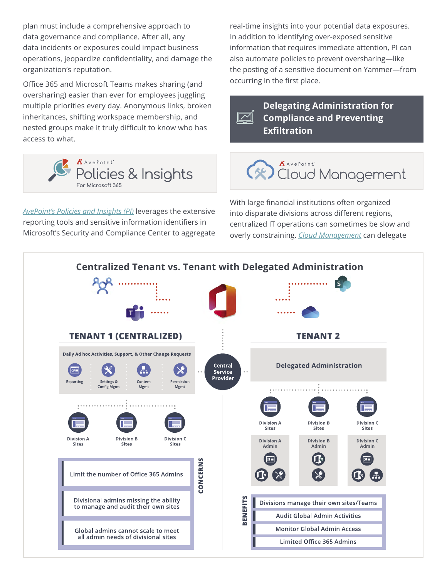plan must include a comprehensive approach to data governance and compliance. After all, any data incidents or exposures could impact business operations, jeopardize confidentiality, and damage the organization's reputation.

Office 365 and Microsoft Teams makes sharing (and oversharing) easier than ever for employees juggling multiple priorities every day. Anonymous links, broken inheritances, shifting workspace membership, and nested groups make it truly difficult to know who has access to what.



*[AvePoint's Policies and Insights \(PI\)](https://www.avepoint.com/products/cloud/policies-insights-microsoft-365)* leverages the extensive reporting tools and sensitive information identifiers in Microsoft's Security and Compliance Center to aggregate real-time insights into your potential data exposures. In addition to identifying over-exposed sensitive information that requires immediate attention, PI can also automate policies to prevent oversharing—like the posting of a sensitive document on Yammer—from occurring in the first place.

**Delegating Administration for Compliance and Preventing**   $\boldsymbol{\mathcal{M}}$ **Exfiltration**

# **AANePoint**<br>Cloud Management

With large financial institutions often organized into disparate divisions across different regions, centralized IT operations can sometimes be slow and overly constraining. *[Cloud Management](https://www.avepoint.com/products/cloud/management)* can delegate